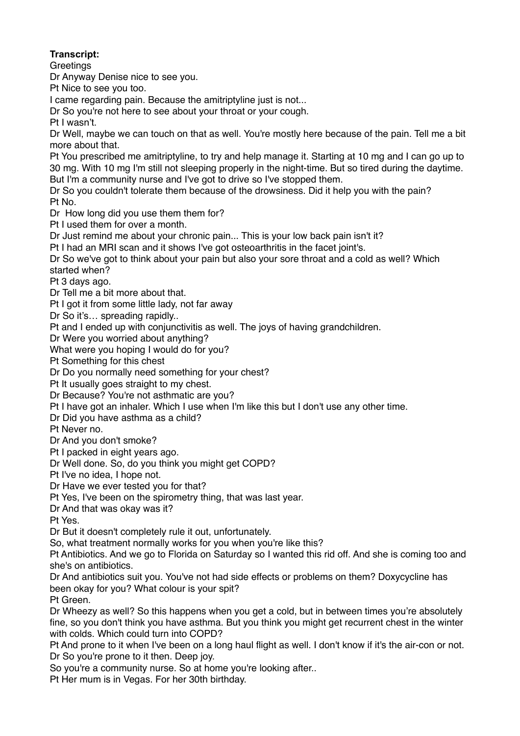## **Transcript:**

**Greetings** 

Dr Anyway Denise nice to see you.

Pt Nice to see you too.

I came regarding pain. Because the amitriptyline just is not...

Dr So you're not here to see about your throat or your cough.

Pt I wasn't.

Dr Well, maybe we can touch on that as well. You're mostly here because of the pain. Tell me a bit more about that.

Pt You prescribed me amitriptyline, to try and help manage it. Starting at 10 mg and I can go up to 30 mg. With 10 mg I'm still not sleeping properly in the night-time. But so tired during the daytime. But I'm a community nurse and I've got to drive so I've stopped them.

Dr So you couldn't tolerate them because of the drowsiness. Did it help you with the pain? Pt No.

Dr How long did you use them them for?

Pt I used them for over a month.

Dr Just remind me about your chronic pain... This is your low back pain isn't it?

Pt I had an MRI scan and it shows I've got osteoarthritis in the facet joint's.

Dr So we've got to think about your pain but also your sore throat and a cold as well? Which started when?

Pt 3 days ago.

Dr Tell me a bit more about that.

Pt I got it from some little lady, not far away

Dr So it's... spreading rapidly..

Pt and I ended up with conjunctivitis as well. The joys of having grandchildren.

Dr Were you worried about anything?

What were you hoping I would do for you?

Pt Something for this chest

Dr Do you normally need something for your chest?

Pt It usually goes straight to my chest.

Dr Because? You're not asthmatic are you?

Pt I have got an inhaler. Which I use when I'm like this but I don't use any other time.

Dr Did you have asthma as a child?

Pt Never no.

Dr And you don't smoke?

Pt I packed in eight years ago.

Dr Well done. So, do you think you might get COPD?

Pt I've no idea, I hope not.

Dr Have we ever tested you for that?

Pt Yes, I've been on the spirometry thing, that was last year.

Dr And that was okay was it?

Pt Yes.

Dr But it doesn't completely rule it out, unfortunately.

So, what treatment normally works for you when you're like this?

Pt Antibiotics. And we go to Florida on Saturday so I wanted this rid off. And she is coming too and she's on antibiotics.

Dr And antibiotics suit you. You've not had side effects or problems on them? Doxycycline has been okay for you? What colour is your spit?

Pt Green.

Dr Wheezy as well? So this happens when you get a cold, but in between times you're absolutely fine, so you don't think you have asthma. But you think you might get recurrent chest in the winter with colds. Which could turn into COPD?

Pt And prone to it when I've been on a long haul flight as well. I don't know if it's the air-con or not. Dr So you're prone to it then. Deep joy.

So you're a community nurse. So at home you're looking after..

Pt Her mum is in Vegas. For her 30th birthday.